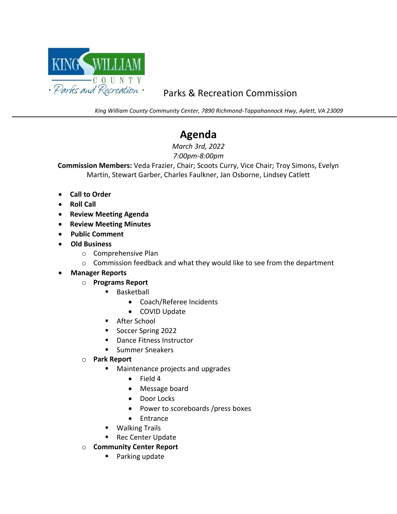

## Parks & Recreation Commission

*King William County Community Center, 7890 Richmond-Tappahannock Hwy, Aylett, VA 23009*

# **Agenda**

*March 3rd, 2022 7:00pm-8:00pm*

**Commission Members:** Veda Frazier, Chair; Scoots Curry, Vice Chair; Troy Simons, Evelyn Martin, Stewart Garber, Charles Faulkner, Jan Osborne, Lindsey Catlett

- **Call to Order**
- **Roll Call**

- **Review Meeting Agenda**
- **Review Meeting Minutes**
- • **Public Comment**
- • **Old Business**
	- o Comprehensive Plan
	- o Commission feedback and what they would like to see from the department
- • **Manager Reports**
	- o **Programs Report**
		- Basketball
			- Coach/Referee Incidents
			- COVID Update
		- After School
		- Soccer Spring 2022
		- Dance Fitness Instructor
		- Summer Sneakers
	- o **Park Report**
		- Maintenance projects and upgrades
			- Field 4
			- Message board
			- Door Locks
			- Power to scoreboards /press boxes
			- Entrance
		- Walking Trails
		- Rec Center Update
	- o **Community Center Report**
		- Parking update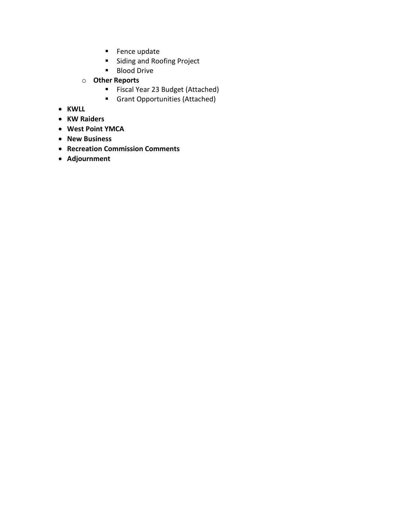- Fence update
- Siding and Roofing Project
- Blood Drive
- o **Other Reports**
	- Fiscal Year 23 Budget (Attached)
	- Grant Opportunities (Attached)
- **KWLL**
- **KW Raiders**
- **West Point YMCA**
- **New Business**
- **Recreation Commission Comments**
- **Adjournment**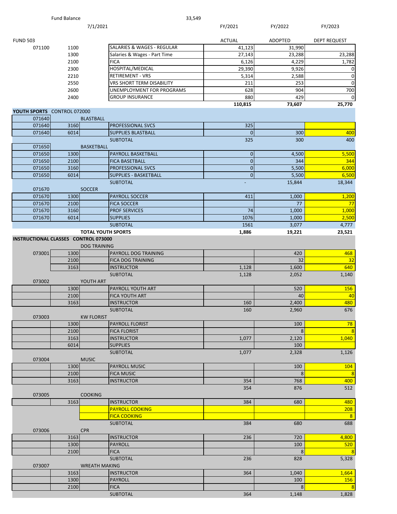|                                      | <b>Fund Balance</b> | 33,549                                           |                          |               |                                  |
|--------------------------------------|---------------------|--------------------------------------------------|--------------------------|---------------|----------------------------------|
|                                      |                     | 7/1/2021                                         | FY/2021                  | FY/2022       | FY/2023                          |
| <b>FUND 503</b>                      |                     |                                                  | <b>ACTUAL</b>            | ADOPTED       | <b>DEPT REQUEST</b>              |
| 071100                               | 1100                | SALARIES & WAGES - REGULAR                       | 41,123                   | 31,990        |                                  |
|                                      | 1300                | Salaries & Wages - Part Time                     | 27,143                   | 23,288        | 23,288                           |
|                                      | 2100                | <b>FICA</b>                                      | 6,126                    | 4,229         | 1,782                            |
|                                      | 2300                | HOSPITAL/MEDICAL                                 | 29,390                   | 9,926         | 0                                |
|                                      | 2210                | <b>RETIREMENT - VRS</b>                          | 5,314                    | 2,588         | 0                                |
|                                      | 2550                | VRS SHORT TERM DISABILITY                        | 211                      | 253           | $\mathbf 0$                      |
|                                      | 2600                | UNEMPLOYMENT FOR PROGRAMS                        | 628                      | 904           | 700                              |
|                                      | 2400                | <b>GROUP INSURANCE</b>                           | 880<br>110,815           | 429<br>73,607 | 0<br>25,770                      |
| YOUTH SPORTS CONTROL 072000          |                     |                                                  |                          |               |                                  |
| 071640                               | <b>BLASTBALL</b>    |                                                  |                          |               |                                  |
| 071640                               | 3160                | <b>PROFESSIONAL SVCS</b>                         | 325                      |               |                                  |
| 071640                               | 6014                | <b>SUPPLIES BLASTBALL</b>                        | $\Omega$                 | 300           | 400                              |
|                                      |                     | <b>SUBTOTAL</b>                                  | 325                      | 300           | 400                              |
| 071650<br>071650                     |                     | <b>BASKETBALL</b>                                |                          |               |                                  |
| 071650                               | 1300<br>2100        | PAYROLL BASKETBALL<br><b>FICA BASETBALL</b>      | $\pmb{0}$<br>$\mathbf 0$ | 4,500<br>344  | 5,500<br>344                     |
| 071650                               | 3160                | PROFESSIONAL SVCS                                | $\mathbf 0$              | 5,500         | 6,000                            |
| 071650                               | 6014                | <b>SUPPLIES - BASKETBALL</b>                     | $\overline{0}$           | 5,500         | 6,500                            |
|                                      |                     | <b>SUBTOTAL</b>                                  |                          | 15,844        | 18,344                           |
| 071670                               | <b>SOCCER</b>       |                                                  |                          |               |                                  |
| 071670                               | 1300                | <b>PAYROLL SOCCER</b>                            | 411                      | 1,000         | 1,200                            |
| 071670                               | 2100                | <b>FICA SOCCER</b>                               |                          | 77            | 77                               |
| 071670                               | 3160                | <b>PROF SERVICES</b>                             | 74                       | 1,000         | 1,000                            |
| 071670                               | 6014                | <b>SUPPLIES</b>                                  | 1076                     | 1,000         | 2,500                            |
|                                      |                     | <b>SUBTOTAL</b>                                  | 1561                     | 3,077         | 4,777                            |
| INSTRUCTIONAL CLASSES CONTROL 073000 |                     | <b>TOTAL YOUTH SPORTS</b><br><b>DOG TRAINING</b> | 1,886                    | 19,221        | 23,521                           |
| 073001                               | 1300<br>2100        | PAYROLL DOG TRAINING<br><b>FICA DOG TRAINING</b> |                          | 420<br>32     | 468<br>32                        |
|                                      | 3163                | <b>INSTRUCTOR</b>                                | 1,128                    | 1,600         | 640                              |
|                                      |                     | <b>SUBTOTAL</b>                                  | 1,128                    | 2,052         | 1,140                            |
| 073002                               | YOUTH ART           |                                                  |                          |               |                                  |
|                                      | 1300                | PAYROLL YOUTH ART                                |                          | 520           | 156                              |
|                                      | 2100                | <b>FICA YOUTH ART</b>                            |                          | 40            | 40                               |
|                                      | 3163                | <b>INSTRUCTOR</b>                                | 160                      | 2,400         | 480                              |
|                                      |                     | <b>SUBTOTAL</b>                                  | 160                      | 2,960         | 676                              |
| 073003                               |                     | <b>KW FLORIST</b>                                |                          |               |                                  |
|                                      | 1300                | <b>PAYROLL FLORIST</b>                           |                          | 100           | 78                               |
|                                      | 2100                | <b>FICA FLORIST</b>                              |                          | 8             | $\overline{\mathbf{8}}$          |
|                                      | 3163<br>6014        | <b>INSTRUCTOR</b><br><b>SUPPLIES</b>             | 1,077                    | 2,120<br>100  | 1,040                            |
|                                      |                     | <b>SUBTOTAL</b>                                  | 1,077                    | 2,328         | 1,126                            |
| 073004                               | <b>MUSIC</b>        |                                                  |                          |               |                                  |
|                                      | 1300                | <b>PAYROLL MUSIC</b>                             |                          | 100           | 104                              |
|                                      | 2100                | <b>FICA MUSIC</b>                                |                          | 8             | $\overline{\mathbf{8}}$          |
|                                      | 3163                | <b>INSTRUCTOR</b>                                | 354                      | 768           | 400                              |
|                                      |                     |                                                  | 354                      | 876           | 512                              |
| 073005                               | <b>COOKING</b>      |                                                  |                          |               |                                  |
|                                      | 3163                | <b>INSTRUCTOR</b>                                | 384                      | 680           | 480                              |
|                                      |                     | <b>PAYROLL COOKING</b>                           |                          |               | 208                              |
|                                      |                     | <b>FICA COOKING</b>                              |                          |               | 8                                |
|                                      |                     | <b>SUBTOTAL</b>                                  | 384                      | 680           | 688                              |
| 073006                               | <b>CPR</b>          |                                                  |                          |               |                                  |
|                                      | 3163                | <b>INSTRUCTOR</b>                                | 236                      | 720           | 4,800                            |
|                                      | 1300                | <b>PAYROLL</b>                                   |                          | 100           | 520                              |
|                                      | 2100                | <b>FICA</b><br><b>SUBTOTAL</b>                   | 236                      | 8<br>828      | $\overline{\mathbf{8}}$<br>5,328 |
| 073007                               |                     | <b>WREATH MAKING</b>                             |                          |               |                                  |
|                                      | 3163                | <b>INSTRUCTOR</b>                                | 364                      | 1,040         | 1,664                            |
|                                      |                     |                                                  |                          |               |                                  |

1300 PAYROLL 200 PAYROLL 1300 PAYROLL 100 PAYROLL 100 PAYROLL 156 FICA 8 8

SUBTOTAL 364 1,148 1,828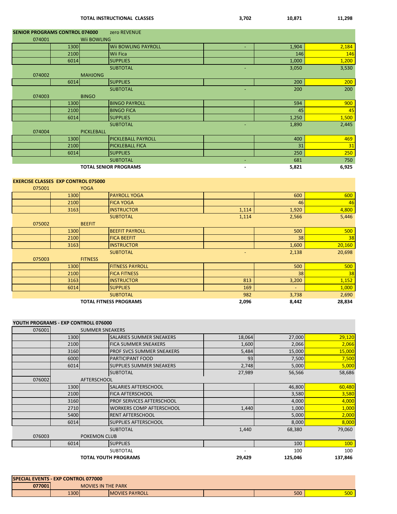|        |                                            | <b>TOTAL INSTRUCTIONAL CLASSES</b> | 3,702                    | 10,871 | 11,298 |
|--------|--------------------------------------------|------------------------------------|--------------------------|--------|--------|
|        | <b>SENIOR PROGRAMS CONTROL 074000</b>      | zero REVENUE                       |                          |        |        |
| 074001 |                                            | Wii BOWLING                        |                          |        |        |
|        | 1300                                       | <b>Wii BOWLING PAYROLL</b>         |                          | 1,904  | 2,184  |
|        | 2100                                       | Wii Fica                           |                          | 146    | 146    |
|        | 6014                                       | <b>SUPPLIES</b>                    |                          | 1,000  | 1,200  |
|        |                                            | <b>SUBTOTAL</b>                    | ÷,                       | 3,050  | 3,530  |
| 074002 | <b>MAHJONG</b>                             |                                    |                          |        |        |
|        | 6014                                       | <b>SUPPLIES</b>                    |                          | 200    | 200    |
|        |                                            | <b>SUBTOTAL</b>                    |                          | 200    | 200    |
| 074003 | <b>BINGO</b>                               |                                    |                          |        |        |
|        | 1300                                       | <b>BINGO PAYROLL</b>               |                          | 594    | 900    |
|        | 2100                                       | <b>BINGO FICA</b>                  |                          | 45     | 45     |
|        | 6014                                       | <b>SUPPLIES</b>                    |                          | 1,250  | 1,500  |
|        |                                            | <b>SUBTOTAL</b>                    |                          | 1,890  | 2,445  |
| 074004 | <b>PICKLEBALL</b>                          |                                    |                          |        |        |
|        | 1300                                       | <b>PICKLEBALL PAYROLL</b>          |                          | 400    | 469    |
|        | 2100                                       | PICKLEBALL FICA                    |                          | 31     | 31     |
|        | 6014                                       | <b>SUPPLIES</b>                    |                          | 250    | 250    |
|        |                                            | <b>SUBTOTAL</b>                    | Ξ                        | 681    | 750    |
|        |                                            | <b>TOTAL SENIOR PROGRAMS</b>       | $\overline{a}$           | 5,821  | 6,925  |
|        | <b>EXERCISE CLASSES EXP CONTROL 075000</b> |                                    |                          |        |        |
| 075001 | <b>YOGA</b>                                |                                    |                          |        |        |
|        | 1300                                       | <b>PAYROLL YOGA</b>                |                          | 600    | 600    |
|        | 2100                                       | <b>FICA YOGA</b>                   |                          | 46     | 46     |
|        | 3163                                       | <b>INSTRUCTOR</b>                  | 1,114                    | 1,920  | 4,800  |
|        |                                            | <b>SUBTOTAL</b>                    | 1,114                    | 2,566  | 5,446  |
| 075002 | <b>BEEFIT</b>                              |                                    |                          |        |        |
|        | 1300                                       | <b>BEEFIT PAYROLL</b>              |                          | 500    | 500    |
|        | 2100                                       | <b>FICA BEEFIT</b>                 |                          | 38     | 38     |
|        | 3163                                       | <b>INSTRUCTOR</b>                  |                          | 1,600  | 20,160 |
|        |                                            | <b>SUBTOTAL</b>                    | $\overline{\phantom{a}}$ | 2,138  | 20,698 |
| 075003 | <b>FITNESS</b>                             |                                    |                          |        |        |
|        | 1300                                       | <b>FITNESS PAYROLL</b>             |                          | 500    | 500    |
|        | 2100                                       | <b>FICA FITNESS</b>                |                          | 38     | 38     |
|        | 3163                                       | <b>INSTRUCTOR</b>                  | 813                      | 3,200  | 1,152  |
|        | 6014                                       | <b>SUPPLIES</b>                    | 169                      |        | 1,000  |
|        |                                            | <b>SUBTOTAL</b>                    | 982                      | 3,738  | 2,690  |

#### **TOTAL FITNESS PROGRAMS** 2,096 8,442 28,834

#### **YOUTH PROGRAMS - EXP CONTROLL 076000**

| 076001 |      | <b>SUMMER SNEAKERS</b>      |                                  |        |         |            |
|--------|------|-----------------------------|----------------------------------|--------|---------|------------|
|        | 1300 |                             | <b>SALARIES SUMMER SNEAKERS</b>  | 18,064 | 27,000  | 29,120     |
|        | 2100 | <b>FICA SUMMER SNEAKERS</b> |                                  | 1,600  | 2,066   | 2,066      |
|        | 3160 |                             | <b>PROF SVCS SUMMER SNEAKERS</b> | 5,484  | 15,000  | 15,000     |
|        | 6000 | <b>PARTICIPANT FOOD</b>     |                                  | 93     | 7,500   | 7,500      |
|        | 6014 |                             | <b>SUPPLIES SUMMER SNEAKERS</b>  | 2,748  | 5,000   | 5,000      |
|        |      | <b>SUBTOTAL</b>             |                                  | 27,989 | 56,566  | 58,686     |
| 076002 |      | <b>AFTERSCHOOL</b>          |                                  |        |         |            |
|        | 1300 | <b>SALARIES AFTERSCHOOL</b> |                                  |        | 46,800  | 60,480     |
|        | 2100 | <b>FICA AFTERSCHOOL</b>     |                                  |        | 3,580   | 3,580      |
|        | 3160 |                             | <b>PROF SERVICES AFTERSCHOOL</b> |        | 4,000   | 4,000      |
|        | 2710 |                             | <b>WORKERS COMP AFTERSCHOOL</b>  | 1,440  | 1,000   | 1,000      |
|        | 5400 | <b>RENT AFTERSCHOOL</b>     |                                  |        | 5,000   | 2,000      |
|        | 6014 | <b>SUPPLIES AFTERSCHOOL</b> |                                  |        | 8,000   | 8,000      |
|        |      | <b>SUBTOTAL</b>             |                                  | 1,440  | 68,380  | 79,060     |
| 076003 |      | <b>POKEMON CLUB</b>         |                                  |        |         |            |
|        | 6014 | <b>SUPPLIES</b>             |                                  |        | 100     | <b>100</b> |
|        |      | <b>SUBTOTAL</b>             |                                  |        | 100     | 100        |
|        |      | <b>TOTAL YOUTH PROGRAMS</b> |                                  | 29,429 | 125,046 | 137,846    |

| <b>SPECIAL EVENTS - EXP CONTROL 077000</b> |      |                           |                        |     |                   |
|--------------------------------------------|------|---------------------------|------------------------|-----|-------------------|
| 077001                                     |      | <b>MOVIES IN THE PARK</b> |                        |     |                   |
|                                            | 1300 |                           | <b>IMOVIES PAYROLL</b> | 500 | <b>EOO</b><br>יטע |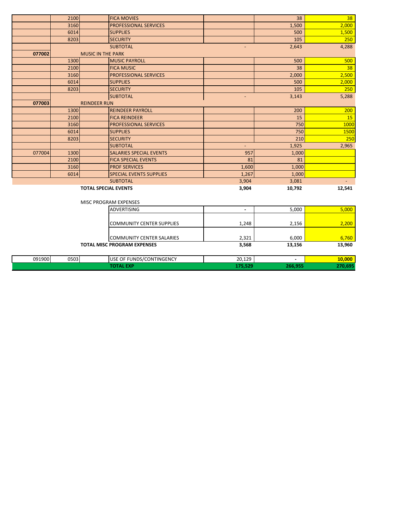|        | 2100 | <b>FICA MOVIES</b>                 |                                  |                | 38     | 38     |
|--------|------|------------------------------------|----------------------------------|----------------|--------|--------|
|        | 3160 | <b>PROFESSIONAL SERVICES</b>       |                                  |                | 1,500  | 2,000  |
|        | 6014 | <b>SUPPLIES</b>                    |                                  |                | 500    | 1,500  |
|        | 8203 | <b>SECURITY</b>                    |                                  |                | 105    | 250    |
|        |      | <b>SUBTOTAL</b>                    |                                  |                | 2,643  | 4,288  |
| 077002 |      | <b>MUSIC IN THE PARK</b>           |                                  |                |        |        |
|        | 1300 | <b>MUSIC PAYROLL</b>               |                                  |                | 500    | 500    |
|        | 2100 | <b>FICA MUSIC</b>                  |                                  |                | 38     | 38     |
|        | 3160 | PROFESSIONAL SERVICES              |                                  |                | 2,000  | 2,500  |
|        | 6014 | <b>SUPPLIES</b>                    |                                  |                | 500    | 2,000  |
|        | 8203 | <b>SECURITY</b>                    |                                  |                | 105    | 250    |
|        |      | <b>SUBTOTAL</b>                    |                                  |                | 3,143  | 5,288  |
| 077003 |      | <b>REINDEER RUN</b>                |                                  |                |        |        |
|        | 1300 | <b>REINDEER PAYROLL</b>            |                                  |                | 200    | 200    |
|        | 2100 | <b>FICA REINDEER</b>               |                                  |                | 15     | 15     |
|        | 3160 | <b>PROFESSIONAL SERVICES</b>       |                                  |                | 750    | 1000   |
|        | 6014 | <b>SUPPLIES</b>                    |                                  |                | 750    | 1500   |
|        | 8203 | <b>SECURITY</b>                    |                                  |                | 210    | 250    |
|        |      | <b>SUBTOTAL</b>                    |                                  | $\blacksquare$ | 1,925  | 2,965  |
| 077004 | 1300 | <b>SALARIES SPECIAL EVENTS</b>     |                                  | 957            | 1,000  |        |
|        | 2100 | <b>FICA SPECIAL EVENTS</b>         |                                  | 81             | 81     |        |
|        | 3160 | <b>PROF SERVICES</b>               |                                  | 1,600          | 1,000  |        |
|        | 6014 | <b>SPECIAL EVENTS SUPPLIES</b>     |                                  | 1,267          | 1,000  |        |
|        |      | <b>SUBTOTAL</b>                    |                                  | 3,904          | 3,081  |        |
|        |      | <b>TOTAL SPECIAL EVENTS</b>        |                                  | 3,904          | 10,792 | 12,541 |
|        |      |                                    |                                  |                |        |        |
|        |      | <b>MISC PROGRAM EXPENSES</b>       |                                  |                |        |        |
|        |      | ADVERTISING                        |                                  | $\blacksquare$ | 5,000  | 5,000  |
|        |      |                                    |                                  |                |        |        |
|        |      |                                    | <b>COMMUNITY CENTER SUPPLIES</b> | 1,248          | 2,156  | 2,200  |
|        |      |                                    |                                  |                |        |        |
|        |      |                                    | <b>COMMUNITY CENTER SALARIES</b> | 2,321          | 6,000  | 6,760  |
|        |      | <b>TOTAL MISC PROGRAM EXPENSES</b> |                                  | 3,568          | 13,156 | 13,960 |
|        |      |                                    |                                  |                |        |        |

| 091900<br>. | 0503<br>. | USE OF FUNDS/CONTINGENCY | 20 12Q<br>20,125<br>the company of the company | <b>AAAA</b>    |
|-------------|-----------|--------------------------|------------------------------------------------|----------------|
|             |           |                          |                                                | <b>TAXABLE</b> |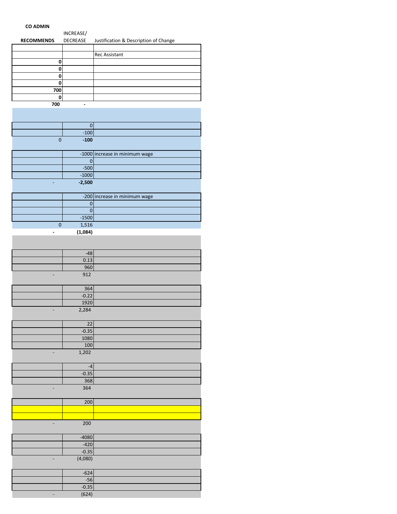#### **CO ADMIN**

|                   | INCREASE/       |                                       |
|-------------------|-----------------|---------------------------------------|
| <b>RECOMMENDS</b> | <b>DECREASE</b> | Justification & Description of Change |
|                   |                 |                                       |
|                   |                 | <b>Rec Assistant</b>                  |
|                   |                 |                                       |
|                   |                 |                                       |
|                   |                 |                                       |
|                   |                 |                                       |
| 700               |                 |                                       |
|                   |                 |                                       |
| 700               | -               |                                       |
|                   |                 |                                       |

|          | 0        |                                |
|----------|----------|--------------------------------|
|          | $-100$   |                                |
| $\Omega$ | $-100$   |                                |
|          |          |                                |
|          |          | -1000 increase in minimum wage |
|          |          |                                |
|          | $-500$   |                                |
|          | $-1000$  |                                |
|          | $-2,500$ |                                |
|          |          |                                |
|          |          | -200 increase in minimum wage  |
|          |          |                                |
|          |          |                                |
|          | $-1500$  |                                |
| $\Omega$ | 1,516    |                                |
|          | (1,084)  |                                |
|          |          |                                |

| $-48$   |                 |
|---------|-----------------|
| 0.13    |                 |
| 960     |                 |
| 912     | $\qquad \qquad$ |
|         |                 |
| 364     |                 |
| $-0.22$ |                 |
| 1920    |                 |
| 2,284   |                 |

|            | າາ   |
|------------|------|
| $-0.35$    |      |
|            | 1080 |
|            | 100  |
| 1,202<br>۰ |      |

|                          | -4      |  |
|--------------------------|---------|--|
|                          | $-0.35$ |  |
|                          | 368     |  |
| $\overline{\phantom{a}}$ | 364     |  |

| 200        |
|------------|
|            |
|            |
| 200        |
|            |
| $-4080$    |
| $-420$     |
| $-0.35$    |
| (4,080)    |
|            |
| $-624$     |
| $-56$      |
| $-0.35$    |
| $100 - 11$ |

 $(624)$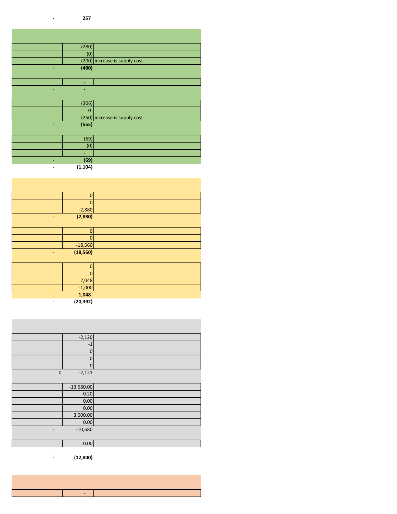#### **- 257**

| (280)       |                               |
|-------------|-------------------------------|
| (0)         |                               |
|             | (200) increase is supply cost |
| (480)       |                               |
|             |                               |
| ÷           |                               |
| ۰           |                               |
|             |                               |
| (306)       |                               |
| $\mathbf 0$ |                               |
|             | (250) increase is supply cost |
| (555)       |                               |
|             |                               |
| (69)        |                               |
| (0)         |                               |
| ٠           |                               |
| (69)        |                               |
| (1, 104)    |                               |

| $\overline{0}$ |  |
|----------------|--|
| $\mathbf 0$    |  |
| $-2,880$       |  |
| (2,880)        |  |
|                |  |
| 0              |  |
| $\mathbf 0$    |  |
| $-18,560$      |  |
| (18, 560)      |  |
|                |  |
| 0              |  |
| $\mathbf 0$    |  |
| 2,048          |  |
| $-1,000$       |  |
| 1,048          |  |

 **- (20,392)**

|                          | $-2,120$                 |  |
|--------------------------|--------------------------|--|
|                          | $-1$                     |  |
|                          | 0                        |  |
|                          | 0                        |  |
|                          | 0                        |  |
| $\mathbf 0$              | $-2,121$                 |  |
|                          |                          |  |
|                          | $-13,680.00$             |  |
|                          | 0.20                     |  |
|                          | $0.00\,$                 |  |
|                          | 0.00                     |  |
|                          | 3,000.00                 |  |
|                          | 0.00                     |  |
|                          | $-10,680$                |  |
|                          |                          |  |
|                          | 0.00                     |  |
| $\overline{\phantom{a}}$ | $\overline{\phantom{a}}$ |  |

 **- (12,800)**

-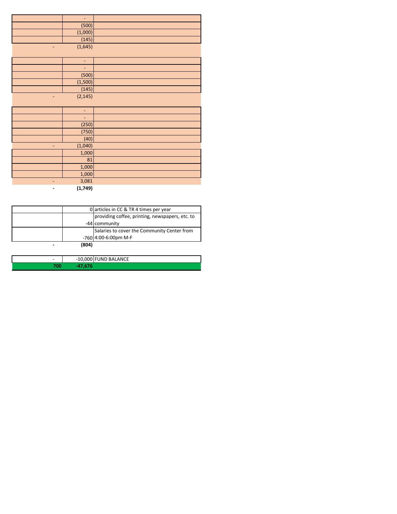|   | L,             |  |
|---|----------------|--|
|   | (500)          |  |
|   | (1,000)        |  |
|   | (145)          |  |
|   | (1,645)        |  |
|   |                |  |
|   | ÷,             |  |
|   | ÷,             |  |
|   | (500)          |  |
|   | (1,500)        |  |
|   | (145)          |  |
|   | (2, 145)       |  |
|   |                |  |
|   | $\blacksquare$ |  |
|   | ÷,             |  |
|   | (250)          |  |
|   | (750)          |  |
|   | (40)           |  |
| - | (1,040)        |  |
|   | 1,000          |  |
|   | 81             |  |
|   | 1,000          |  |
|   | 1,000          |  |
|   | 3,081          |  |
|   | (1,749)        |  |

| 0 articles in CC & TR 4 times per year |                                                 |  |  |  |
|----------------------------------------|-------------------------------------------------|--|--|--|
|                                        | providing coffee, printing, newspapers, etc. to |  |  |  |
|                                        | -44 community                                   |  |  |  |
|                                        | Salaries to cover the Community Center from     |  |  |  |
|                                        | -760 4:00-6:00pm M-F                            |  |  |  |
| (804)                                  |                                                 |  |  |  |

| - | -10,000 FUND BALANCE |
|---|----------------------|
|   |                      |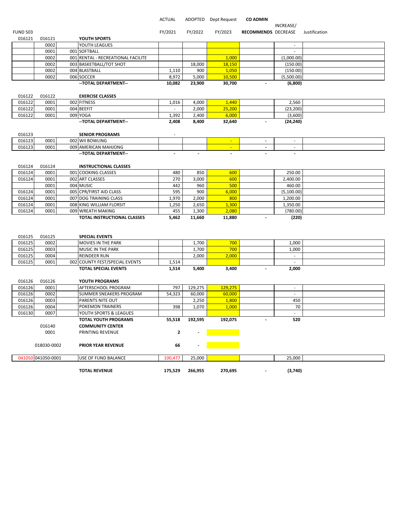#### ACTUAL ADOPTED Dept Request **CO ADMIN**

|                 |             |                                    |         |         |                  |                          | INCREASE/                |               |
|-----------------|-------------|------------------------------------|---------|---------|------------------|--------------------------|--------------------------|---------------|
| <b>FUND 503</b> |             |                                    | FY/2021 | FY/2022 | FY/2023          | RECOMMENDS DECREASE      |                          | Justification |
| 016121          | 016121      | YOUTH SPORTS                       |         |         |                  |                          |                          |               |
|                 | 0002        | YOUTH LEAGUES                      |         |         |                  |                          | $\overline{\phantom{a}}$ |               |
|                 | 0001        | 001 SOFTBALL                       |         |         |                  |                          | $\sim$                   |               |
|                 | 0002        | 001 RENTAL - RECREATIONAL FACILITE |         |         | 1,000            |                          | (1,000.00)               |               |
|                 | 0002        | 003 BASKETBALL/TOT SHOT            |         | 18,000  | 18,150           |                          | (150.00)                 |               |
|                 | 0002        | 004 BLASTBALL                      | 1,110   | 900     | 1,050            |                          | (150.00)                 |               |
|                 | 0002        | 006 SOCCER                         | 8,972   | 5,000   | 10,500           |                          | (5,500.00)               |               |
|                 |             | -- TOTAL DEPARTMENT--              | 10,082  | 23,900  | 30,700           | $\blacksquare$           | (6,800)                  |               |
|                 |             |                                    |         |         |                  |                          |                          |               |
| 016122          | 016122      | <b>EXERCISE CLASSES</b>            |         |         |                  |                          |                          |               |
| 016122          | 0001        | 002 FITNESS                        | 1,016   | 4,000   | 1,440            |                          | 2,560                    |               |
| 016122          | 0001        | 004 BEEFIT                         |         | 2,000   | 25,200           |                          | (23, 200)                |               |
| 016122          | 0001        | 009 YOGA                           | 1,392   | 2,400   | 6,000            |                          | (3,600)                  |               |
|                 |             | -- TOTAL DEPARTMENT--              | 2,408   | 8,400   | 32,640           | $\overline{\phantom{a}}$ | (24, 240)                |               |
|                 |             |                                    |         |         |                  |                          |                          |               |
| 016123          |             | <b>SENIOR PROGRAMS</b>             |         |         |                  |                          |                          |               |
| 016123          | 0001        | 002 WII BOWLING                    |         |         |                  | $\overline{\phantom{a}}$ | $\sim$                   |               |
| 016123          | 0001        |                                    |         |         | $\sim$<br>$\sim$ | $\overline{\phantom{a}}$ | $\overline{\phantom{a}}$ |               |
|                 |             | 009 AMERICAN MAHJONG               |         |         |                  |                          |                          |               |
|                 |             | -- TOTAL DEPARTMENT--              |         |         |                  |                          |                          |               |
|                 |             |                                    |         |         |                  |                          |                          |               |
| 016124          | 016124      | <b>INSTRUCTIONAL CLASSES</b>       |         |         |                  |                          |                          |               |
| 016124          | 0001        | 001 COOKING CLASSES                | 480     | 850     | 600              |                          | 250.00                   |               |
| 016124          | 0001        | 002 ART CLASSES                    | 270     | 3,000   | 600              |                          | 2,400.00                 |               |
|                 | 0001        | 004 MUSIC                          | 442     | 960     | 500              |                          | 460.00                   |               |
| 016124          | 0001        | 005 CPR/FIRST AID CLASS            | 595     | 900     | 6,000            |                          | (5,100.00)               |               |
| 016124          | 0001        | 007 DOG TRAINING CLASS             | 1,970   | 2,000   | 800              |                          | 1,200.00                 |               |
| 016124          | 0001        | 008 KING WILLIAM FLORSIT           | 1,250   | 2,650   | 1,300            |                          | 1,350.00                 |               |
| 016124          | 0001        | 009 WREATH MAKING                  | 455     | 1,300   | 2,080            |                          | (780.00)                 |               |
|                 |             | TOTAL INSTRUCTIONAL CLASSES        | 5,462   | 11,660  | 11,880           |                          | (220)                    |               |
|                 |             |                                    |         |         |                  |                          |                          |               |
|                 |             |                                    |         |         |                  |                          |                          |               |
| 016125          | 016125      | <b>SPECIAL EVENTS</b>              |         |         |                  |                          |                          |               |
| 016125          | 0002        | MOVIES IN THE PARK                 |         | 1,700   | 700              |                          | 1,000                    |               |
| 016125          | 0003        | MUSIC IN THE PARK                  |         | 1,700   | 700              |                          | 1,000                    |               |
| 016125          | 0004        | <b>REINDEER RUN</b>                |         | 2,000   | 2,000            |                          | $\sim$                   |               |
| 016125          | 0001        | 002 COUNTY FEST/SPECIAL EVENTS     | 1,514   |         |                  |                          | $\sim$                   |               |
|                 |             | <b>TOTAL SPECIAL EVENTS</b>        | 1,514   | 5,400   | 3,400            | $\blacksquare$           | 2,000                    |               |
|                 |             |                                    |         |         |                  |                          |                          |               |
| 016126          | 016126      | YOUTH PROGRAMS                     |         |         |                  |                          |                          |               |
| 016126          | 0001        | AFTERSCHOOL PROGRAM                | 797     | 129,275 | 129,275          |                          | $\sim$                   |               |
| 016126          | 0002        | SUMMER SNEAKERS PROGRAM            | 54,323  | 60,000  | 60,000           |                          |                          |               |
| 016126          | 0003        | PARENTS NITE OUT                   |         | 2,250   | 1,800            |                          | 450                      |               |
| 016126          | 0004        | <b>POKEMON TRAINERS</b>            | 398     | 1,070   | 1,000            |                          | 70                       |               |
| 016130          | 0007        | YOUTH SPORTS & LEAGUES             |         |         |                  |                          |                          |               |
|                 |             | <b>TOTAL YOUTH PROGRAMS</b>        | 55,518  | 192,595 | 192,075          |                          | 520                      |               |
|                 | 016140      | <b>COMMUNITY CENTER</b>            |         |         |                  |                          |                          |               |
|                 | 0001        | PRINTING REVENUE                   | 2       |         |                  |                          |                          |               |
|                 |             |                                    |         |         |                  |                          |                          |               |
|                 | 018030-0002 | PRIOR YEAR REVENUE                 | 66      |         |                  |                          |                          |               |
|                 |             |                                    |         |         |                  |                          |                          |               |
| 041050          | 041050-0001 | USE OF FUND BALANCE                | 100,477 | 25,000  |                  |                          | 25,000                   |               |
|                 |             |                                    |         |         |                  |                          |                          |               |

**TOTAL REVENUE 175,529 266,955 270,695 - (3,740)**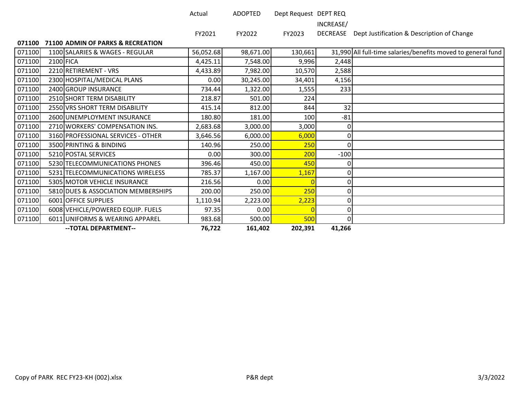| ctual |  |  |
|-------|--|--|
|       |  |  |
|       |  |  |

Actual ADOPTED Dept Request DEPT REQ

INCREASE/

DECREASE Dept Justification & Description of Change

#### **71100 ADMIN OF PARKS & RECREATION**

|        |           | -- TOTAL DEPARTMENT--               | 76,722    | 161,402   | 202,391 | 41,266 |                                                              |
|--------|-----------|-------------------------------------|-----------|-----------|---------|--------|--------------------------------------------------------------|
| 071100 |           | 6011 UNIFORMS & WEARING APPAREL     | 983.68    | 500.00    | 500     | 0      |                                                              |
| 071100 |           | 6008 VEHICLE/POWERED EQUIP. FUELS   | 97.35     | 0.00      |         | 0      |                                                              |
| 071100 |           | 6001 OFFICE SUPPLIES                | 1,110.94  | 2,223.00  | 2,223   | 0      |                                                              |
| 071100 |           | 5810 DUES & ASSOCIATION MEMBERSHIPS | 200.00    | 250.00    | 250     | 01     |                                                              |
| 071100 |           | 5305 MOTOR VEHICLE INSURANCE        | 216.56    | 0.00      |         | 0      |                                                              |
| 071100 |           | 5231 TELECOMMUNICATIONS WIRELESS    | 785.37    | 1,167.00  | 1,167   | 0      |                                                              |
| 071100 |           | 5230 TELECOMMUNICATIONS PHONES      | 396.46    | 450.00    | 450     |        |                                                              |
| 071100 |           | 5210 POSTAL SERVICES                | 0.00      | 300.00    | 200     | $-100$ |                                                              |
| 071100 |           | 3500 PRINTING & BINDING             | 140.96    | 250.00    | 250     | 0      |                                                              |
| 071100 |           | 3160 PROFESSIONAL SERVICES - OTHER  | 3,646.56  | 6,000.00  | 6,000   | ΩI     |                                                              |
| 071100 |           | 2710 WORKERS' COMPENSATION INS.     | 2,683.68  | 3,000.00  | 3,000   | 0      |                                                              |
| 071100 |           | 2600 UNEMPLOYMENT INSURANCE         | 180.80    | 181.00    | 100     | $-81$  |                                                              |
| 071100 |           | 2550 VRS SHORT TERM DISABILITY      | 415.14    | 812.00    | 844     | 32     |                                                              |
| 071100 |           | 2510 SHORT TERM DISABILITY          | 218.87    | 501.00    | 224     |        |                                                              |
| 071100 |           | 2400 GROUP INSURANCE                | 734.44    | 1,322.00  | 1,555   | 233    |                                                              |
| 071100 |           | 2300 HOSPITAL/MEDICAL PLANS         | 0.00      | 30,245.00 | 34,401  | 4,156  |                                                              |
| 071100 |           | 2210 RETIREMENT - VRS               | 4,433.89  | 7,982.00  | 10,570  | 2,588  |                                                              |
| 071100 | 2100 FICA |                                     | 4,425.11  | 7,548.00  | 9,996   | 2,448  |                                                              |
| 071100 |           | 1100 SALARIES & WAGES - REGULAR     | 56,052.68 | 98,671.00 | 130,661 |        | 31,990 All full-time salaries/benefits moved to general fund |

FY2021 FY2022 FY2023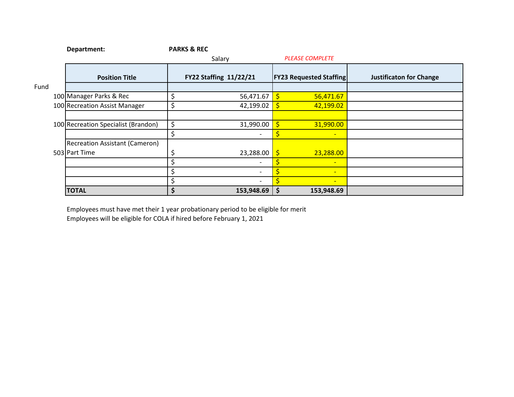|      | Department:                           | <b>PARKS &amp; REC</b> |                          |            |                                |                                |  |
|------|---------------------------------------|------------------------|--------------------------|------------|--------------------------------|--------------------------------|--|
|      |                                       |                        | Salary                   |            | <b>PLEASE COMPLETE</b>         |                                |  |
|      | <b>Position Title</b>                 |                        | FY22 Staffing 11/22/21   |            | <b>FY23 Requested Staffing</b> | <b>Justificaton for Change</b> |  |
| Fund |                                       |                        |                          |            |                                |                                |  |
|      | 100 Manager Parks & Rec               | \$                     | 56,471.67                |            | 56,471.67                      |                                |  |
|      | 100 Recreation Assist Manager         | \$                     | 42,199.02                | $\sqrt{5}$ | 42,199.02                      |                                |  |
|      |                                       |                        |                          |            |                                |                                |  |
|      | 100 Recreation Specialist (Brandon)   | \$                     | 31,990.00                |            | 31,990.00                      |                                |  |
|      |                                       | \$                     | $\overline{\phantom{a}}$ |            | $\overline{\phantom{0}}$       |                                |  |
|      | <b>Recreation Assistant (Cameron)</b> |                        |                          |            |                                |                                |  |
|      | 503 Part Time                         | ς                      | 23,288.00                | I\$        | 23,288.00                      |                                |  |
|      |                                       | \$                     | $\overline{\phantom{a}}$ |            | $\overline{\phantom{0}}$       |                                |  |
|      |                                       |                        |                          |            | $\overline{\phantom{0}}$       |                                |  |
|      |                                       | \$                     | $\overline{\phantom{a}}$ |            | $\overline{\phantom{0}}$       |                                |  |
|      | <b>TOTAL</b>                          | \$                     | 153,948.69               | \$         | 153,948.69                     |                                |  |

Employees must have met their 1 year probationary period to be eligible for merit

Employees will be eligible for COLA if hired before February 1, 2021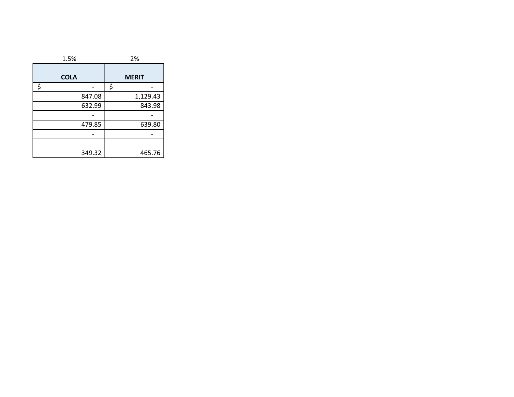| 1.5%        | 2%           |  |  |
|-------------|--------------|--|--|
| <b>COLA</b> | <b>MERIT</b> |  |  |
| \$          | \$           |  |  |
| 847.08      | 1,129.43     |  |  |
| 632.99      | 843.98       |  |  |
|             |              |  |  |
| 479.85      | 639.80       |  |  |
|             |              |  |  |
| 349.32      | 465.76       |  |  |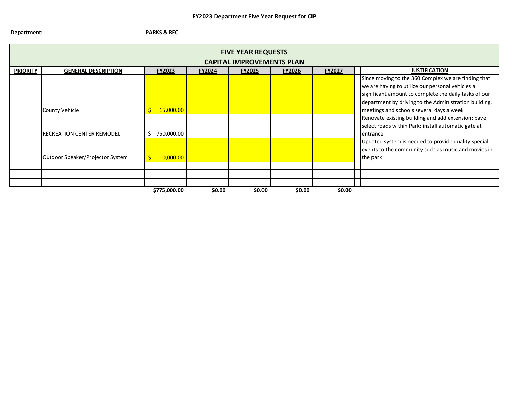#### **Department: PARKS & REC**

| <b>FIVE YEAR REQUESTS</b><br><b>CAPITAL IMPROVEMENTS PLAN</b> |                                  |                  |               |               |               |               |                                                                                                                                                                                                                           |
|---------------------------------------------------------------|----------------------------------|------------------|---------------|---------------|---------------|---------------|---------------------------------------------------------------------------------------------------------------------------------------------------------------------------------------------------------------------------|
| <b>PRIORITY</b>                                               | <b>GENERAL DESCRIPTION</b>       | <b>FY2023</b>    | <b>FY2024</b> | <b>FY2025</b> | <b>FY2026</b> | <b>FY2027</b> | <b>JUSTIFICATION</b>                                                                                                                                                                                                      |
|                                                               |                                  |                  |               |               |               |               | Since moving to the 360 Complex we are finding that<br>we are having to utilize our personal vehicles a<br>significant amount to complete the daily tasks of our<br>department by driving to the Administration building, |
|                                                               | <b>County Vehicle</b>            | 15,000.00        |               |               |               |               | meetings and schools several days a week                                                                                                                                                                                  |
|                                                               | <b>RECREATION CENTER REMODEL</b> | 750,000.00<br>Ś. |               |               |               |               | Renovate existing building and add extension; pave<br>select roads within Park; install automatic gate at<br>entrance                                                                                                     |
|                                                               | Outdoor Speaker/Projector System | 10,000.00        |               |               |               |               | Updated system is needed to provide quality special<br>events to the community such as music and movies in<br>the park                                                                                                    |
|                                                               |                                  |                  |               |               |               |               |                                                                                                                                                                                                                           |
|                                                               |                                  |                  |               |               |               |               |                                                                                                                                                                                                                           |
|                                                               |                                  |                  |               |               |               |               |                                                                                                                                                                                                                           |
|                                                               |                                  | \$775,000.00     | \$0.00        | \$0.00        | \$0.00        | \$0.00        |                                                                                                                                                                                                                           |